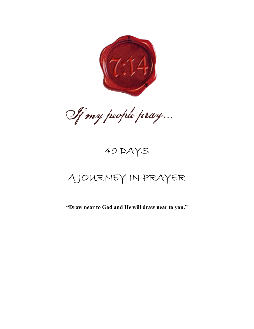

Of my people pray...

# 40 DAYS

# A JOURNEY IN PRAYER

**"Draw near to God and He will draw near to you."**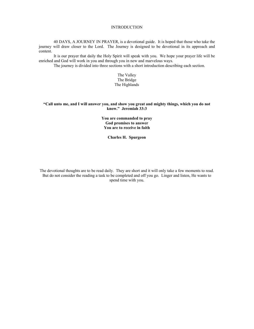#### **INTRODUCTION**

40 DAYS, A JOURNEY IN PRAYER, is a devotional guide. It is hoped that those who take the journey will draw closer to the Lord. The Journey is designed to be devotional in its approach and content.

It is our prayer that daily the Holy Spirit will speak with you. We hope your prayer life will be enriched and God will work in you and through you in new and marvelous ways.

The journey is divided into three sections with a short introduction describing each section.

The Valley The Bridge The Highlands

## **"Call unto me, and I will answer you, and show you great and mighty things, which you do not know." Jeremiah 33:3**

**You are commanded to pray God promises to answer You are to receive in faith**

**Charles H. Spurgeon**

The devotional thoughts are to be read daily. They are short and it will only take a few moments to read. But do not consider the reading a task to be completed and off you go. Linger and listen, He wants to spend time with you.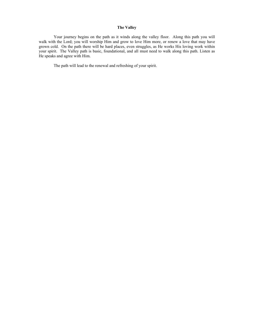# **The Valley**

Your journey begins on the path as it winds along the valley floor. Along this path you will walk with the Lord; you will worship Him and grow to love Him more, or renew a love that may have grown cold. On the path there will be hard places, even struggles, as He works His loving work within your spirit. The Valley path is basic, foundational, and all must need to walk along this path. Listen as He speaks and agree with Him.

The path will lead to the renewal and refreshing of your spirit.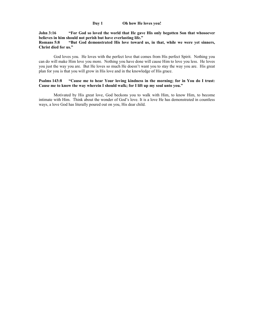# **Day 1 Oh how He loves you!**

# **John 3:16 "For God so loved the world that He gave His only begotten Son that whosoever believes in him should not perish but have everlasting life."**

# **Romans 5:8 "But God demonstrated His love toward us, in that, while we were yet sinners, Christ died for us."**

God loves you. He loves with the perfect love that comes from His perfect Spirit. Nothing you can do will make Him love you more. Nothing you have done will cause Him to love you less. He loves you just the way you are. But He loves so much He doesn't want you to stay the way you are. His great plan for you is that you will grow in His love and in the knowledge of His grace.

# **Psalms 143:8 "Cause me to hear Your loving kindness in the morning; for in You do I trust: Cause me to know the way wherein I should walk; for I lift up my soul unto you."**

Motivated by His great love, God beckons you to walk with Him, to know Him, to become intimate with Him. Think about the wonder of God's love. It is a love He has demonstrated in countless ways, a love God has literally poured out on you, His dear child.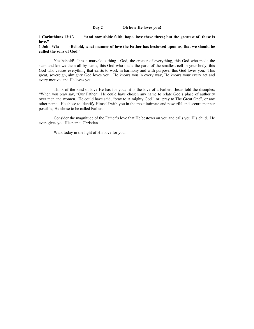#### **Day 2 Oh how He loves you!**

**1 Corinthians 13:13 "And now abide faith, hope, love these three; but the greatest of these is love."**

## **1 John 3:1a "Behold, what manner of love the Father has bestowed upon us, that we should be called the sons of God"**

Yes behold! It is a marvelous thing. God, the creator of everything, this God who made the stars and knows them all by name, this God who made the parts of the smallest cell in your body, this God who causes everything that exists to work in harmony and with purpose; this God loves you. This great, sovereign, almighty God loves you. He knows you in every way, He knows your every act and every motive, and He loves you.

Think of the kind of love He has for you; it is the love of a Father. Jesus told the disciples; "When you pray say, "Our Father". He could have chosen any name to relate God's place of authority over men and women. He could have said, "pray to Almighty God", or "pray to The Great One", or any other name. He chose to identify Himself with you in the most intimate and powerful and secure manner possible; He chose to be called Father.

Consider the magnitude of the Father's love that He bestows on you and calls you His child. He even gives you His name; Christian.

Walk today in the light of His love for you.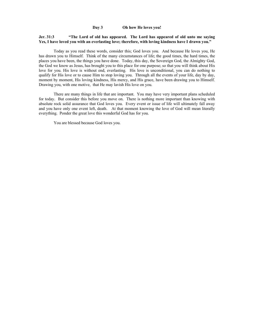## **Day 3 Oh how He loves you!**

# **Jer. 31:3 "The Lord of old has appeared. The Lord has appeared of old unto me saying Yes, I have loved you with an everlasting love; therefore, with loving kindness have I drawn you."**

Today as you read these words, consider this; God loves you. And because He loves you, He has drawn you to Himself. Think of the many circumstances of life; the good times, the hard times, the places you have been, the things you have done. Today, this day, the Sovereign God, the Almighty God, the God we know as Jesus, has brought you to this place for one purpose; so that you will think about His love for you. His love is without end, everlasting. His love is unconditional, you can do nothing to qualify for His love or to cause Him to stop loving you. Through all the events of your life, day by day, moment by moment, His loving kindness, His mercy, and His grace, have been drawing you to Himself. Drawing you, with one motive, that He may lavish His love on you.

There are many things in life that are important. You may have very important plans scheduled for today. But consider this before you move on. There is nothing more important than knowing with absolute rock solid assurance that God loves you. Every event or issue of life will ultimately fall away and you have only one event left, death. At that moment knowing the love of God will mean literally everything. Ponder the great love this wonderful God has for you.

You are blessed because God loves you.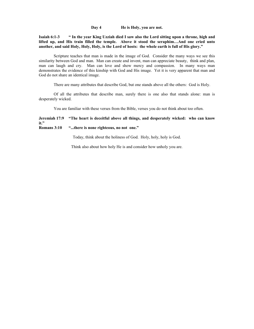**Day 4 He is Holy, you are not.**

**Isaiah 6:1-3 " In the year King Uzziah died I saw also the Lord sitting upon a throne, high and lifted up, and His train filled the temple. Above it stood the seraphim…And one cried unto another, and said Holy, Holy, Holy, is the Lord of hosts: the whole earth is full of His glory."**

Scripture teaches that man is made in the image of God. Consider the many ways we see this similarity between God and man. Man can create and invent, man can appreciate beauty, think and plan, man can laugh and cry. Man can love and show mercy and compassion. In many ways man demonstrates the evidence of this kinship with God and His image. Yet it is very apparent that man and God do not share an identical image.

There are many attributes that describe God, but one stands above all the others: God is Holy.

Of all the attributes that describe man, surely there is one also that stands alone: man is desperately wicked.

You are familiar with these verses from the Bible, verses you do not think about too often.

# **Jeremiah 17:9 "The heart is deceitful above all things, and desperately wicked: who can know it."**

# **Romans 3:10 "...there is none righteous, no not one."**

Today, think about the holiness of God. Holy, holy, holy is God.

Think also about how holy He is and consider how unholy you are.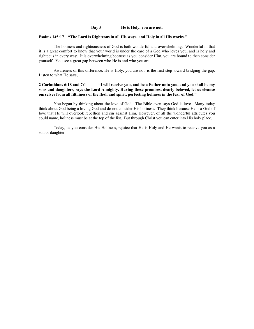#### **Day 5 He is Holy, you are not.**

## **Psalms 145:17 "The Lord is Righteous in all His ways, and Holy in all His works."**

The holiness and righteousness of God is both wonderful and overwhelming. Wonderful in that it is a great comfort to know that your world is under the care of a God who loves you, and is holy and righteous in every way. It is overwhelming because as you consider Him, you are bound to then consider yourself. You see a great gap between who He is and who you are.

Awareness of this difference, He is Holy, you are not, is the first step toward bridging the gap. Listen to what He says;

# **2 Corinthians 6:18 and 7:1 "I will receive you, and be a Father unto you, and you shall be my sons and daughters, says the Lord Almighty. Having these promises, dearly beloved, let us cleanse ourselves from all filthiness of the flesh and spirit, perfecting holiness in the fear of God."**

You began by thinking about the love of God. The Bible even says God is love. Many today think about God being a loving God and do not consider His holiness. They think because He is a God of love that He will overlook rebellion and sin against Him. However, of all the wonderful attributes you could name, holiness must be at the top of the list. But through Christ you can enter into His holy place.

Today, as you consider His Holiness, rejoice that He is Holy and He wants to receive you as a son or daughter.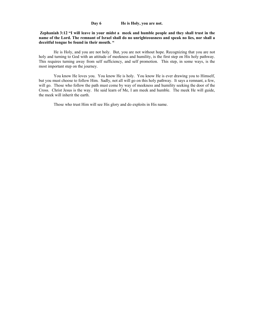# **Day 6 He is Holy, you are not.**

**Zephaniah 3:12 "I will leave in your midst a meek and humble people and they shall trust in the name of the Lord. The remnant of Israel shall do no unrighteousness and speak no lies, nor shall a deceitful tongue be found in their mouth. "** 

He is Holy, and you are not holy. But, you are not without hope. Recognizing that you are not holy and turning to God with an attitude of meekness and humility, is the first step on His holy pathway. This requires turning away from self sufficiency, and self promotion. This step, in some ways, is the most important step on the journey.

You know He loves you. You know He is holy. You know He is ever drawing you to Himself, but you must choose to follow Him. Sadly, not all will go on this holy pathway. It says a remnant, a few, will go. Those who follow the path must come by way of meekness and humility seeking the door of the Cross. Christ Jesus is the way. He said learn of Me, I am meek and humble. The meek He will guide, the meek will inherit the earth.

Those who trust Him will see His glory and do exploits in His name.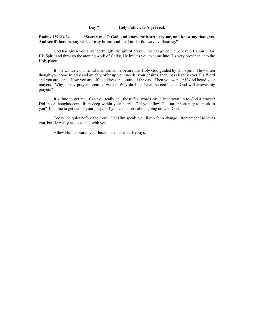## **Day 7 Holy Father, let's get real.**

# **Psalms 139:23-24 "Search me, O God, and know my heart; try me, and know my thoughts. And see if there be any wicked way in me, and lead me in the way everlasting."**

God has given you a wonderful gift, the gift of prayer. He has given the believer His spirit. By His Spirit and through the atoning work of Christ, He invites you to come into His very presence, into the Holy place.

It is a wonder; this sinful man can come before this Holy God guided by His Spirit. How often though you come to pray and quickly offer up your needs, your desires, then pass lightly over His Word and you are done. Now you are off to address the issues of the day. Then you wonder if God heard your prayers. Why do my prayers seem so weak? Why do I not have the confidence God will answer my prayers?

It's time to get real. Can you really call those few words casually thrown up to God a prayer? Did those thoughts come from deep within your heart? Did you allow God an opportunity to speak to you? It's time to get real in your prayers if you are sincere about going on with God.

Today, be quiet before the Lord. Let Him speak, you listen for a change. Remember He loves you, but He really needs to talk with you.

Allow Him to search your heart, listen to what He says.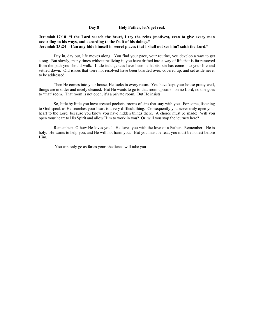**Day 8 Holy Father, let's get real.**

#### **Jeremiah 17:10 "I the Lord search the heart, I try the reins (motives), even to give every man according to his ways, and according to the fruit of his doings." Jeremiah 23:24 "Can any hide himself in secret places that I shall not see him? saith the Lord."**

Day in, day out, life moves along. You find your pace, your routine, you develop a way to get along. But slowly, many times without realizing it, you have drifted into a way of life that is far removed from the path you should walk. Little indulgences have become habits, sin has come into your life and settled down. Old issues that were not resolved have been boarded over, covered up, and set aside never to be addressed.

Then He comes into your house, He looks in every room. You have kept your house pretty well, things are in order and nicely cleaned. But He wants to go to that room upstairs; oh no Lord, no one goes to 'that' room. That room is not open, it's a private room. But He insists.

So, little by little you have created pockets, rooms of sins that stay with you. For some, listening to God speak as He searches your heart is a very difficult thing. Consequently you never truly open your heart to the Lord, because you know you have hidden things there. A choice must be made: Will you open your heart to His Spirit and allow Him to work in you? Or, will you stop the journey here?

Remember: O how He loves you! He loves you with the love of a Father. Remember: He is holy. He wants to help you, and He will not harm you. But you must be real, you must be honest before Him.

You can only go as far as your obedience will take you.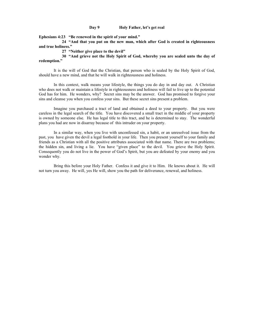#### **Day 9 Holy Father, let's get real**

**Ephesians 4:23 "Be renewed in the spirit of your mind."** 

 **24 "And that you put on the new man, which after God is created in righteousness and true holiness."**

 **27 "Neither give place to the devil"**

 **30 "And grieve not the Holy Spirit of God, whereby you are sealed unto the day of redemption."**

It is the will of God that the Christian, that person who is sealed by the Holy Spirit of God, should have a new mind, and that he will walk in righteousness and holiness.

In this context, walk means your lifestyle, the things you do day in and day out. A Christian who does not walk or maintain a lifestyle in righteousness and holiness will fail to live up to the potential God has for him. He wonders, why? Secret sins may be the answer. God has promised to forgive your sins and cleanse you when you confess your sins. But these secret sins present a problem.

Imagine you purchased a tract of land and obtained a deed to your property. But you were careless in the legal search of the title. You have discovered a small tract in the middle of your property is owned by someone else. He has legal title to this tract, and he is determined to stay. The wonderful plans you had are now in disarray because of this intruder on your property.

In a similar way, when you live with unconfessed sin, a habit, or an unresolved issue from the past, you have given the devil a legal foothold in your life. Then you present yourself to your family and friends as a Christian with all the positive attributes associated with that name. There are two problems; the hidden sin, and living a lie. You have "given place" to the devil. You grieve the Holy Spirit. Consequently you do not live in the power of God's Spirit, but you are defeated by your enemy and you wonder why.

Bring this before your Holy Father. Confess it and give it to Him. He knows about it. He will not turn you away. He will, yes He will, show you the path for deliverance, renewal, and holiness.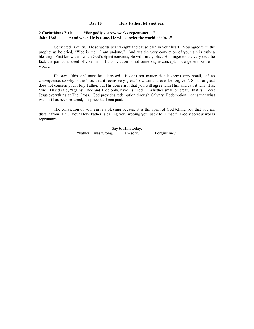## **Day 10 Holy Father, let's get real**

#### **2 Corinthians 7:10 "For godly sorrow works repentance…" John 16:8 "And when He is come, He will convict the world of sin…"**

Convicted. Guilty. These words bear weight and cause pain in your heart. You agree with the prophet as he cried, "Woe is me! I am undone." And yet the very conviction of your sin is truly a blessing. First know this; when God's Spirit convicts, He will surely place His finger on the very specific fact, the particular deed of your sin. His conviction is not some vague concept, not a general sense of wrong.

He says, 'this sin' must be addressed. It does not matter that it seems very small, 'of no consequence, so why bother'; or, that it seems very great 'how can that ever be forgiven'. Small or great does not concern your Holy Father, but His concern it that you will agree with Him and call it what it is, 'sin'. David said, "against Thee and Thee only, have I sinned" . Whether small or great, that 'sin' cost Jesus everything at The Cross. God provides redemption through Calvary. Redemption means that what was lost has been restored, the price has been paid.

The conviction of your sin is a blessing because it is the Spirit of God telling you that you are distant from Him. Your Holy Father is calling you, wooing you, back to Himself. Godly sorrow works repentance.

> Say to Him today, "Father, I was wrong. I am sorry. Forgive me."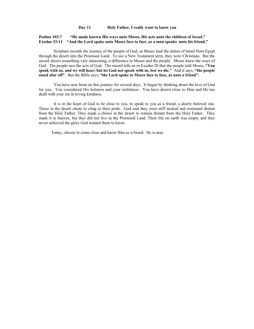# **Psalms 103:7 "He made known His ways unto Moses, His acts unto the children of Israel." Exodus 33:11 "And the Lord spoke unto Moses face to face, as a man speaks unto his friend."**

Scripture records the journey of the people of God, as Moses lead the nation of Israel from Egypt through the desert into the Promised Land. To use a New Testament term, they were Christians. But the record shows something very interesting, a difference in Moses and the people. Moses knew the ways of God. The people saw the acts of God. The record tells us in Exodus 20 that the people told Moses, **"You speak with us, and we will hear; but let God not speak with us, lest we die."** And it says, **"the people stood afar off"**. But the Bible says, **"the Lord spoke to Moses face to face, as unto a friend".**

You have now been on this journey for several days. It began by thinking about the love of God for you. You considered His holiness and your sinfulness. You have drawn close to Him and He has dealt with your sin in loving kindness.

It is in the heart of God to be close to you, to speak to you as a friend, a dearly beloved one. Those in the desert chose to cling to their pride. God said they were stiff necked and remained distant from the Holy Father. They made a choice in the desert to remain distant from the Holy Father. They made it to heaven, but they did not live in the Promised Land. Their life on earth was empty and they never achieved the glory God wanted them to know.

Today, choose to come close and know Him as a friend. He is near.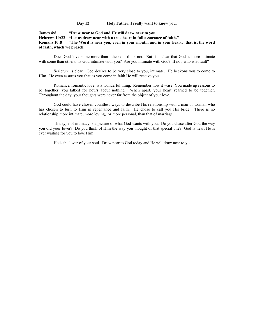**Day 12 Holy Father, I really want to know you.**

**James 4:8 "Draw near to God and He will draw near to you." Hebrews 10:22 "Let us draw near with a true heart in full assurance of faith." Romans 10:8 "The Word is near you, even in your mouth, and in your heart: that is, the word of faith, which we preach."**

Does God love some more than others? I think not. But it is clear that God is more intimate with some than others. Is God intimate with you? Are you intimate with God? If not, who is at fault?

Scripture is clear. God desires to be very close to you, intimate. He beckons you to come to Him. He even assures you that as you come in faith He will receive you.

Romance, romantic love, is a wonderful thing. Remember how it was? You made up reasons to be together, you talked for hours about nothing. When apart, your heart yearned to be together. Throughout the day, your thoughts were never far from the object of your love.

God could have chosen countless ways to describe His relationship with a man or woman who has chosen to turn to Him in repentance and faith. He chose to call you His bride. There is no relationship more intimate, more loving, or more personal, than that of marriage.

This type of intimacy is a picture of what God wants with you. Do you chase after God the way you did your lover? Do you think of Him the way you thought of that special one? God is near, He is ever waiting for you to love Him.

He is the lover of your soul. Draw near to God today and He will draw near to you.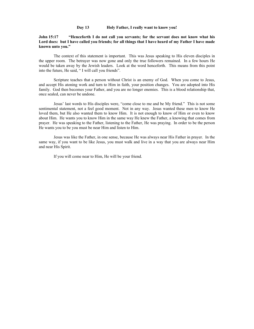## **Day 13 Holy Father, I really want to know you!**

# **John 15:17 "Henceforth I do not call you servants; for the servant does not know what his Lord does: but I have called you friends; for all things that I have heard of my Father I have made known unto you."**

The context of this statement is important. This was Jesus speaking to His eleven disciples in the upper room. The betrayer was now gone and only the true followers remained. In a few hours He would be taken away by the Jewish leaders. Look at the word henceforth. This means from this point into the future, He said, " I will call you friends".

Scripture teaches that a person without Christ is an enemy of God. When you come to Jesus, and accept His atoning work and turn to Him in faith, your position changes. You are adopted into His family. God then becomes your Father, and you are no longer enemies. This is a blood relationship that, once sealed, can never be undone.

Jesus' last words to His disciples were, "come close to me and be My friend." This is not some sentimental statement, not a feel good moment. Not in any way. Jesus wanted these men to know He loved them, but He also wanted them to know Him. It is not enough to know of Him or even to know about Him. He wants you to know Him in the same way He knew the Father, a knowing that comes from prayer. He was speaking to the Father, listening to the Father, He was praying. In order to be the person He wants you to be you must be near Him and listen to Him.

Jesus was like the Father, in one sense, because He was always near His Father in prayer. In the same way, if you want to be like Jesus, you must walk and live in a way that you are always near Him and near His Spirit.

If you will come near to Him, He will be your friend.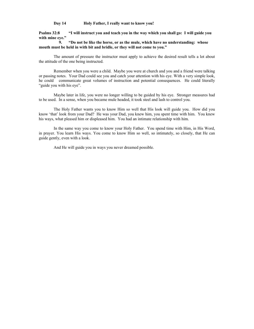**Day 14 Holy Father, I really want to know you!**

**Psalms 32:8 "I will instruct you and teach you in the way which you shall go: I will guide you with mine eye."**

 **9. "Do not be like the horse, or as the mule, which have no understanding: whose mouth must be held in with bit and bridle, or they will not come to you."**

The amount of pressure the instructor must apply to achieve the desired result tells a lot about the attitude of the one being instructed.

Remember when you were a child. Maybe you were at church and you and a friend were talking or passing notes. Your Dad could see you and catch your attention with his eye. With a very simple look, he could communicate great volumes of instruction and potential consequences. He could literally "guide you with his eye".

Maybe later in life, you were no longer willing to be guided by his eye. Stronger measures had to be used. In a sense, when you became mule headed, it took steel and lash to control you.

The Holy Father wants you to know Him so well that His look will guide you. How did you know 'that' look from your Dad? He was your Dad, you knew him, you spent time with him. You knew his ways, what pleased him or displeased him. You had an intimate relationship with him.

In the same way you come to know your Holy Father. You spend time with Him, in His Word, in prayer. You learn His ways. You come to know Him so well, so intimately, so closely, that He can guide gently, even with a look.

And He will guide you in ways you never dreamed possible.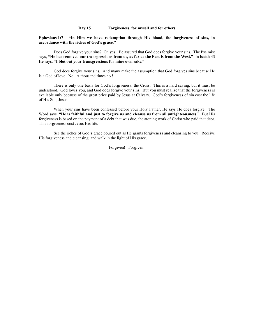#### **Day 15 Forgiveness, for myself and for others**

**Ephesians 1:7 "In Him we have redemption through His blood, the forgiveness of sins, in accordance with the riches of God's grace."**

Does God forgive your sins? Oh yes! Be assured that God does forgive your sins. The Psalmist says, **"He has removed our transgressions from us, as far as the East is from the West."** In Isaiah 43 He says, **"I blot out your transgressions for mine own sake."**

God does forgive your sins. And many make the assumption that God forgives sins because He is a God of love. No. A thousand times no !

There is only one basis for God's forgiveness: the Cross. This is a hard saying, but it must be understood. God loves you, and God does forgive your sins. But you must realize that the forgiveness is available only because of the great price paid by Jesus at Calvary. God's forgiveness of sin cost the life of His Son, Jesus.

When your sins have been confessed before your Holy Father, He says He does forgive. The Word says, **"He is faithful and just to forgive us and cleanse us from all unrighteousness."** But His forgiveness is based on the payment of a debt that was due, the atoning work of Christ who paid that debt. This forgiveness cost Jesus His life.

See the riches of God's grace poured out as He grants forgiveness and cleansing to you. Receive His forgiveness and cleansing, and walk in the light of His grace.

Forgiven! Forgiven!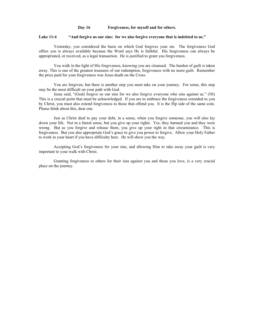### **Day 16 Forgiveness, for myself and for others.**

#### **Luke 11:4 "And forgive us our sins: for we also forgive everyone that is indebted to us."**

Yesterday, you considered the basis on which God forgives your sin. The forgiveness God offers you is always available because the Word says He is faithful. His forgiveness can always be appropriated, or received, as a legal transaction. He is justified to grant you forgiveness.

You walk in the light of His forgiveness, knowing you are cleansed. The burden of guilt is taken away. This is one of the greatest treasures of our redemption, forgiveness with no more guilt. Remember the price paid for your forgiveness was Jesus death on the Cross.

You are forgiven, but there is another step you must take on your journey. For some, this step may be the most difficult on your path with God.

Jesus said, "(God) forgive us our sins for we also forgive everyone who sins against us." (NI) This is a crucial point that must be acknowledged. If you are to embrace the forgiveness extended to you by Christ, you must also extend forgiveness to those that offend you. It is the flip side of the same coin. Please think about this, dear one.

Just as Christ died to pay your debt, in a sense, when you forgive someone, you will also lay down your life. Not in a literal sense, but you give up your rights. Yes, they harmed you and they were wrong. But as you forgive and release them, you give up your right in that circumstance. This is forgiveness. But you also appropriate God's grace to give you power to forgive. Allow your Holy Father to work in your heart if you have difficulty here. He will show you the way.

Accepting God's forgiveness for your sins, and allowing Him to take away your guilt is very important to your walk with Christ.

Granting forgiveness to others for their sins against you and those you love, is a very crucial place on the journey.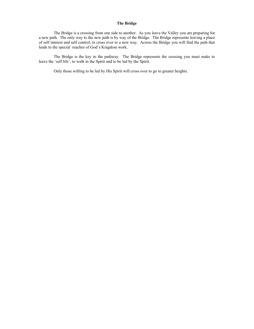# **The Bridge**

The Bridge is a crossing from one side to another. As you leave the Valley you are preparing for a new path. The only way to the new path is by way of the Bridge. The Bridge represents leaving a place of self interest and self control, to cross over to a new way. Across the Bridge you will find the path that leads to the special reaches of God's Kingdom work.

The Bridge is the key to the pathway. The Bridge represents the crossing you must make to leave the 'self life', to walk in the Spirit and to be led by the Spirit.

Only those willing to be led by His Spirit will cross over to go to greater heights.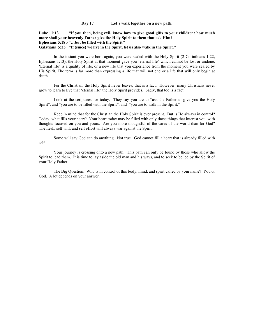**Day 17 Let's walk together on a new path.**

**Luke 11:13 "If you then, being evil, know how to give good gifts to your children: how much more shall your heavenly Father give the Holy Spirit to them that ask Him? Ephesians 5:18b "…but be filled with the Spirit" Galatians 5:25 "If (since) we live in the Spirit, let us also walk in the Spirit."**

In the instant you were born again, you were sealed with the Holy Spirit (2 Corinthians 1:22, Ephesians 1:13), the Holy Spirit at that moment gave you 'eternal life' which cannot be lost or undone. 'Eternal life' is a quality of life, or a new life that you experience from the moment you were sealed by His Spirit. The term is far more than expressing a life that will not end or a life that will only begin at death.

For the Christian, the Holy Spirit never leaves, that is a fact. However, many Christians never grow to learn to live that 'eternal life' the Holy Spirit provides. Sadly, that too is a fact.

Look at the scriptures for today. They say you are to "ask the Father to give you the Holy Spirit", and "you are to be filled with the Spirit", and "you are to walk in the Spirit."

Keep in mind that for the Christian the Holy Spirit is ever present. But is He always in control? Today, what fills your heart? Your heart today may be filled with only those things that interest you, with thoughts focused on you and yours. Are you more thoughtful of the cares of the world than for God? The flesh, self will, and self effort will always war against the Spirit.

Some will say God can do anything. Not true. God cannot fill a heart that is already filled with self.

Your journey is crossing onto a new path. This path can only be found by those who allow the Spirit to lead them. It is time to lay aside the old man and his ways, and to seek to be led by the Spirit of your Holy Father.

The Big Question: Who is in control of this body, mind, and spirit called by your name? You or God. A lot depends on your answer.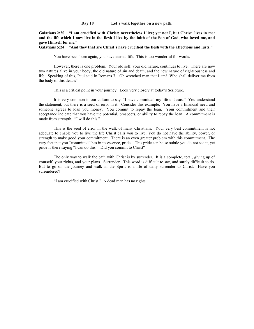**Day 18 Let's walk together on a new path.**

**Galatians 2:20 "I am crucified with Christ; nevertheless I live; yet not I, but Christ lives in me: and the life which I now live in the flesh I live by the faith of the Son of God, who loved me, and gave Himself for me."**

**Galatians 5:24 "And they that are Christ's have crucified the flesh with the affections and lusts."**

You have been born again, you have eternal life. This is too wonderful for words.

However, there is one problem. Your old self, your old nature, continues to live. There are now two natures alive in your body; the old nature of sin and death, and the new nature of righteousness and life. Speaking of this, Paul said in Romans 7, "Oh wretched man that I am! Who shall deliver me from the body of this death?"

This is a critical point in your journey. Look very closely at today's Scripture.

It is very common in our culture to say, "I have committed my life to Jesus." You understand the statement, but there is a seed of error in it. Consider this example. You have a financial need and someone agrees to loan you money. You commit to repay the loan. Your commitment and their acceptance indicate that you have the potential, prospects, or ability to repay the loan. A commitment is made from strength, "I will do this."

This is the seed of error in the walk of many Christians. Your very best commitment is not adequate to enable you to live the life Christ calls you to live. You do not have the ability, power, or strength to make good your commitment. There is an even greater problem with this commitment. The very fact that you "committed" has in its essence, pride. This pride can be so subtle you do not see it, yet pride is there saying "I can do this". Did you commit to Christ?

The only way to walk the path with Christ is by surrender. It is a complete, total, giving up of yourself, your rights, and your plans. Surrender. This word is difficult to say, and surely difficult to do. But to go on the journey and walk in the Spirit is a life of daily surrender to Christ. Have you surrendered?

"I am crucified with Christ." A dead man has no rights.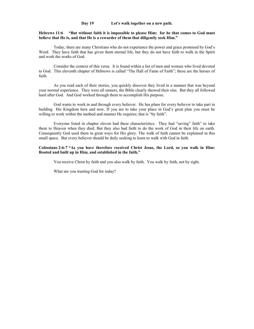**Day 19 Let's walk together on a new path.**

## **Hebrews 11:6 "But without faith it is impossible to please Him: for he that comes to God must believe that He is, and that He is a rewarder of them that diligently seek Him."**

Today, there are many Christians who do not experience the power and grace promised by God's Word. They have faith that has given them eternal life, but they do not have faith to walk in the Spirit and work the works of God.

Consider the context of this verse. It is found within a list of men and women who lived devoted to God. This eleventh chapter of Hebrews is called "The Hall of Fame of Faith"; these are the heroes of faith.

As you read each of their stories, you quickly discover they lived in a manner that was beyond your normal experience. They were all sinners, the Bible clearly showed their sins. But they all followed hard after God. And God worked through them to accomplish His purpose.

God wants to work in and through every believer. He has plans for every believer to take part in building His Kingdom here and now. If you are to take your place in God's great plan you must be willing to work within the method and manner He requires; that is "by faith".

Everyone listed in chapter eleven had these characteristics: They had "saving" faith" to take them to Heaven when they died. But they also had faith to do the work of God in their life on earth. Consequently God used them in great ways for His glory. The walk of faith cannot be explained in this small space. But every believer should be daily seeking to learn to walk with God in faith.

#### **Colossians 2:6-7 "As you have therefore received Christ Jesus, the Lord, so you walk in Him: Rooted and built up in Him, and established in the faith."**

You receive Christ by faith and you also walk by faith. You walk by faith, not by sight.

What are you trusting God for today?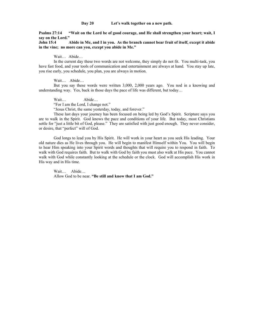**Day 20 Let's walk together on a new path.**

**Psalms 27:14 "Wait on the Lord be of good courage, and He shall strengthen your heart; wait, I say on the Lord."**

**John 15:4 Abide in Me, and I in you. As the branch cannot bear fruit of itself, except it abide in the vine; no more can you, except you abide in Me."**

Wait… Abide…

In the current day these two words are not welcome, they simply do not fit. You multi-task, you have fast food, and your tools of communication and entertainment are always at hand. You stay up late, you rise early, you schedule, you plan, you are always in motion.

Wait… Abide…

But you say these words were written 3,000, 2,000 years ago. You nod in a knowing and understanding way. Yes, back in those days the pace of life was different, but today…

Wait… Abide…

"For I am the Lord, I change not."

"Jesus Christ, the same yesterday, today, and forever."

These last days your journey has been focused on being led by God's Spirit. Scripture says you are to walk in the Spirit. God knows the pace and conditions of your life. But today, most Christians settle for "just a little bit of God, please." They are satisfied with just good enough. They never consider, or desire, that "perfect" will of God.

God longs to lead you by His Spirit. He will work in your heart as you seek His leading. Your old nature dies as He lives through you. He will begin to manifest Himself within You. You will begin to hear Him speaking into your Spirit words and thoughts that will require you to respond in faith. To walk with God requires faith. But to walk with God by faith you must also walk at His pace. You cannot walk with God while constantly looking at the schedule or the clock. God will accomplish His work in His way and in His time.

Wait… Abide… Allow God to be near. **"Be still and know that I am God."**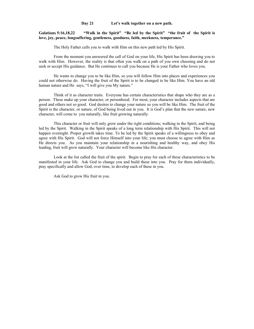**Day 21 Let's walk together on a new path.**

## **Galatians 5:16,18,22 "Walk in the Spirit" "Be led by the Spirit" "the fruit of the Spirit is love, joy, peace, longsuffering, gentleness, goodness, faith, meekness, temperance."**

The Holy Father calls you to walk with Him on this new path led by His Spirit.

From the moment you answered the call of God on your life, His Spirit has been drawing you to walk with Him. However, the reality is that often you walk on a path of you own choosing and do not seek or accept His guidance. But He continues to call you because He is your Father who loves you.

He wants to change you to be like Him, so you will follow Him into places and experiences you could not otherwise do. Having the fruit of the Spirit is to be changed to be like Him. You have an old human nature and He says, "I will give you My nature."

Think of it as character traits. Everyone has certain characteristics that shape who they are as a person. These make up your character, or personhood. For most, your character includes aspects that are good and others not so good. God desires to change your nature so you will be like Him. The fruit of the Spirit is the character, or nature, of God being lived out in you. It is God's plan that the new nature, new character, will come to you naturally, like fruit growing naturally.

This character or fruit will only grow under the right conditions; walking in the Spirit, and being led by the Spirit. Walking in the Spirit speaks of a long term relationship with His Spirit. This will not happen overnight. Proper growth takes time. To be led by the Spirit speaks of a willingness to obey and agree with His Spirit. God will not force Himself into your life; you must choose to agree with Him as He directs you. As you maintain your relationship in a nourishing and healthy way, and obey His leading, fruit will grow naturally. Your character will become like His character.

Look at the list called the fruit of the spirit. Begin to pray for each of these characteristics to be manifested in your life. Ask God to change you and build these into you. Pray for them individually, pray specifically and allow God, over time, to develop each of these in you.

Ask God to grow His fruit in you.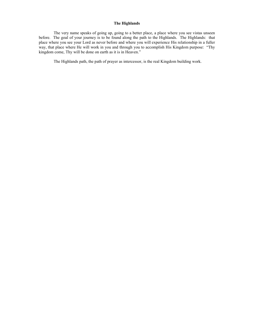# **The Highlands**

The very name speaks of going up, going to a better place, a place where you see vistas unseen before. The goal of your journey is to be found along the path to the Highlands. The Highlands: that place where you see your Lord as never before and where you will experience His relationship in a fuller way, that place where He will work in you and through you to accomplish His Kingdom purpose: "Thy kingdom come, Thy will be done on earth as it is in Heaven."

The Highlands path, the path of prayer as intercessor, is the real Kingdom building work.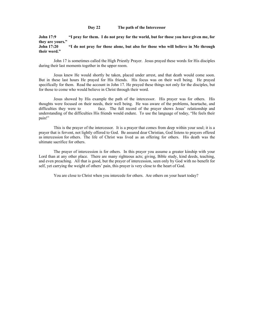## **Day 22 The path of the Intercessor**

**John 17:9 "I pray for them. I do not pray for the world, but for those you have given me, for they are yours."**

**John 17:20 "I do not pray for those alone, but also for those who will believe in Me through their word."**

John 17 is sometimes called the High Priestly Prayer. Jesus prayed these words for His disciples during their last moments together in the upper room.

Jesus knew He would shortly be taken, placed under arrest, and that death would come soon. But in these last hours He prayed for His friends. His focus was on their well being. He prayed specifically for them. Read the account in John 17. He prayed these things not only for the disciples, but for those to come who would believe in Christ through their word.

Jesus showed by His example the path of the intercessor. His prayer was for others. His thoughts were focused on their needs, their well being. He was aware of the problems, heartache, and difficulties they were to face. The full record of the prayer shows Jesus' relationship and understanding of the difficulties His friends would endure. To use the language of today, "He feels their pain!"

This is the prayer of the intercessor. It is a prayer that comes from deep within your soul; it is a prayer that is fervent, not lightly offered to God. Be assured dear Christian, God listens to prayers offered as intercession for others. The life of Christ was lived as an offering for others. His death was the ultimate sacrifice for others.

The prayer of intercession is for others. In this prayer you assume a greater kinship with your Lord than at any other place. There are many righteous acts; giving, Bible study, kind deeds, teaching, and even preaching. All that is good, but the prayer of intercession, seen only by God with no benefit for self, yet carrying the weight of others' pain, this prayer is very close to the heart of God.

You are close to Christ when you intercede for others. Are others on your heart today?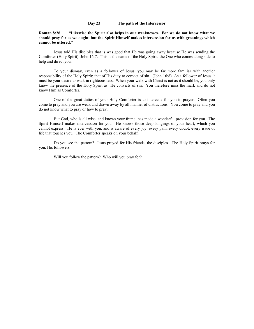# **Day 23 The path of the Intercessor**

**Roman 8:26 "Likewise the Spirit also helps in our weaknesses. For we do not know what we should pray for as we ought, but the Spirit Himself makes intercession for us with groanings which cannot be uttered."**

Jesus told His disciples that is was good that He was going away because He was sending the Comforter (Holy Spirit). John 16:7. This is the name of the Holy Spirit, the One who comes along side to help and direct you.

To your dismay, even as a follower of Jesus, you may be far more familiar with another responsibility of the Holy Spirit; that of His duty to convict of sin. (John 16:8) As a follower of Jesus it must be your desire to walk in righteousness. When your walk with Christ is not as it should be, you only know the presence of the Holy Spirit as He convicts of sin. You therefore miss the mark and do not know Him as Comforter.

One of the great duties of your Holy Comforter is to intercede for you in prayer. Often you come to pray and you are weak and drawn away by all manner of distractions. You come to pray and you do not know what to pray or how to pray.

But God, who is all wise, and knows your frame, has made a wonderful provision for you. The Spirit Himself makes intercession for you. He knows those deep longings of your heart, which you cannot express. He is ever with you, and is aware of every joy, every pain, every doubt, every issue of life that touches you. The Comforter speaks on your behalf.

Do you see the pattern? Jesus prayed for His friends, the disciples. The Holy Spirit prays for you, His followers.

Will you follow the pattern? Who will you pray for?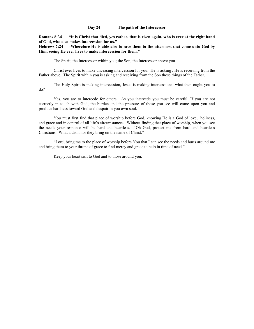#### **Day 24 The path of the Intercessor**

**Romans 8:34 "It is Christ that died, yes rather, that is risen again, who is ever at the right hand of God, who also makes intercession for us."**

**Hebrews 7:24 "Wherefore He is able also to save them to the uttermost that come unto God by Him, seeing He ever lives to make intercession for them."**

The Spirit, the Intercessor within you; the Son, the Intercessor above you.

Christ ever lives to make unceasing intercession for you. He is asking , He is receiving from the Father above. The Spirit within you is asking and receiving from the Son those things of the Father.

The Holy Spirit is making intercession, Jesus is making intercession: what then ought you to do?

Yes, you are to intercede for others. As you intercede you must be careful. If you are not correctly in touch with God, the burden and the pressure of those you see will come upon you and produce hardness toward God and despair in you own soul.

You must first find that place of worship before God, knowing He is a God of love, holiness, and grace and in control of all life's circumstances. Without finding that place of worship, when you see the needs your response will be hard and heartless. "Oh God, protect me from hard and heartless Christians. What a dishonor they bring on the name of Christ."

"Lord, bring me to the place of worship before You that I can see the needs and hurts around me and bring them to your throne of grace to find mercy and grace to help in time of need."

Keep your heart soft to God and to those around you.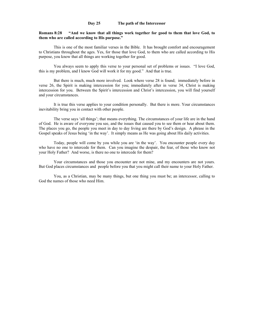# **Day 25 The path of the Intercessor**

#### **Romans 8:28 "And we know that all things work together for good to them that love God, to them who are called according to His purpose."**

This is one of the most familiar verses in the Bible. It has brought comfort and encouragement to Christians throughout the ages. Yes, for those that love God, to them who are called according to His purpose, you know that all things are working together for good.

You always seem to apply this verse to your personal set of problems or issues. "I love God, this is my problem, and I know God will work it for my good." And that is true.

But there is much, much more involved. Look where verse 28 is found; immediately before in verse 26, the Spirit is making intercession for you; immediately after in verse 34, Christ is making intercession for you. Between the Spirit's intercession and Christ's intercession, you will find yourself and your circumstances.

It is true this verse applies to your condition personally. But there is more. Your circumstances inevitability bring you in contact with other people.

The verse says 'all things'; that means everything. The circumstances of your life are in the hand of God. He is aware of everyone you see, and the issues that caused you to see them or hear about them. The places you go, the people you meet in day to day living are there by God's design. A phrase in the Gospel speaks of Jesus being 'in the way'. It simply means as He was going about His daily activities.

Today, people will come by you while you are 'in the way'. You encounter people every day who have no one to intercede for them. Can you imagine the despair, the fear, of those who know not your Holy Father? And worse, is there no one to intercede for them?

Your circumstances and those you encounter are not mine, and my encounters are not yours. But God places circumstances and people before you that you might call their name to your Holy Father.

You, as a Christian, may be many things, but one thing you must be; an intercessor, calling to God the names of those who need Him.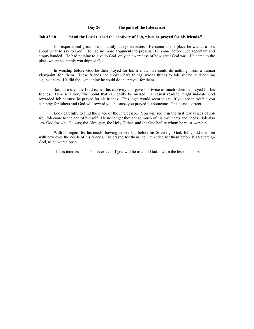### **Day 26 The path of the Intercessor**

#### **Job 42:10 "And the Lord turned the captivity of Job, when he prayed for his friends."**

Job experienced great loss of family and possessions. He came to the place he was at a loss about what to say to God. He had no more arguments to present. He came before God repentant and empty handed. He had nothing to give to God, only an awareness of how great God was. He came to the place where he simply worshipped God.

In worship before God he then prayed for his friends. He could do nothing, from a human viewpoint, for them. These friends had spoken hard things, wrong things to Job, yet he held nothing against them. He did the one thing he could do; he prayed for them.

Scripture says the Lord turned his captivity and gave Job twice as much when he prayed for his friends. Here is a very fine point that can easily be missed. A casual reading might indicate God rewarded Job because he prayed for his friends. This logic would seem to say, if you are in trouble you can pray for others and God will reward you because you prayed for someone. This is not correct.

Look carefully to find the place of the intercessor. You will see it in the first few verses of Job 42. Job came to the end of himself. He no longer thought so much of his own cares and needs. Job also saw God for who He was; the Almighty, the Holy Father, and the One before whom he must worship.

With no regard for his needs, bowing in worship before his Sovereign God, Job could then see with new eyes the needs of his friends. He prayed for them, he interceded for them before his Sovereign God, as he worshipped.

This is intercession. This is critical if you will be used of God. Learn the lesson of Job.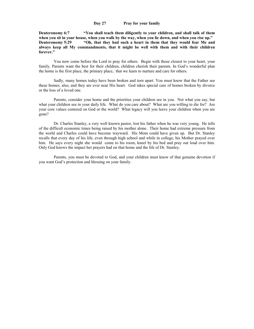# **Day 27 Pray for your family**

**Deuteronomy 6:7 "You shall teach them diligently to your children, and shall talk of them when you sit in your house, when you walk by the way, when you lie down, and when you rise up." Deuteronomy 5:29 "Oh, that they had such a heart in them that they would fear Me and always keep all My commandments, that it might be well with them and with their children forever."**

You now come before the Lord to pray for others. Begin with those closest to your heart, your family. Parents want the best for their children, children cherish their parents. In God's wonderful plan the home is the first place, the primary place, that we learn to nurture and care for others.

Sadly, many homes today have been broken and torn apart. You must know that the Father see these homes, also, and they are ever near His heart. God takes special care of homes broken by divorce or the loss of a loved one.

Parents, consider your home and the priorities your children see in you. Not what you say, but what your children see in your daily life. What do you care about? What are you willing to die for? Are your core values centered on God or the world? What legacy will you leave your children when you are gone?

Dr. Charles Stanley, a very well known pastor, lost his father when he was very young. He tells of the difficult economic times being raised by his mother alone. Their home had extreme pressure from the world and Charles could have become wayward. His Mom could have given up. But Dr. Stanley recalls that every day of his life, even through high school and while in college, his Mother prayed over him. He says every night she would come to his room, kneel by his bed and pray out loud over him. Only God knows the impact her prayers had on that home and the life of Dr. Stanley.

Parents, you must be devoted to God, and your children must know of that genuine devotion if you want God's protection and blessing on your family.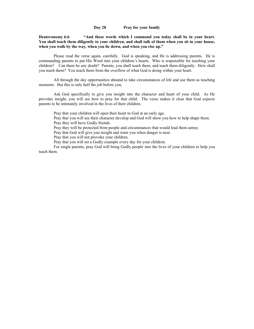**Day 28 Pray for your family**

**Deuteronomy 6:6 "And these words which I command you today shall be in your heart. You shall teach them diligently to your children, and shall talk of them when you sit in your house, when you walk by the way, when you lie down, and when you rise up."**

Please read the verse again, carefully. God is speaking, and He is addressing parents. He is commanding parents to put His Word into your children's hearts. Who is responsible for teaching your children? Can there be any doubt? Parents, you shall teach them, and teach them diligently. How shall you teach them? You teach them from the overflow of what God is doing within your heart.

All through the day opportunities abound to take circumstances of life and use them as teaching moments. But this is only half the job before you.

Ask God specifically to give you insight into the character and heart of your child. As He provides insight, you will see how to pray for that child. The verse makes it clear that God expects parents to be intimately involved in the lives of their children.

Pray that your children will open their heart to God at an early age.

Pray that you will see their character develop and God will show you how to help shape them. Pray they will have Godly friends.

Pray they will be protected from people and circumstances that would lead them astray.

Pray that God will give you insight and warn you when danger is near.

Pray that you will not provoke your children.

Pray that you will set a Godly example every day for your children.

For single parents, pray God will bring Godly people into the lives of your children to help you teach them.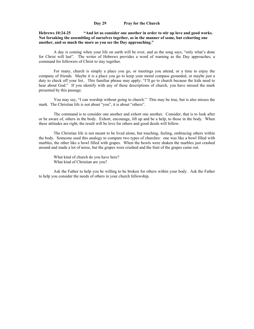# **Day 29 Pray for the Church**

# **Hebrews 10:24-25 "And let us consider one another in order to stir up love and good works. Not forsaking the assembling of ourselves together, as in the manner of some, but exhorting one another, and so much the more as you see the Day approaching."**

A day is coming when your life on earth will be over, and as the song says, "only what's done for Christ will last". The writer of Hebrews provides a word of warning as the Day approaches; a command for followers of Christ to stay together.

For many, church is simply a place you go, or meetings you attend, or a time to enjoy the company of friends. Maybe it is a place you go to keep your moral compass grounded, or maybe just a duty to check off your list.. This familiar phrase may apply; "I'll go to church because the kids need to hear about God." If you identify with any of these descriptions of church, you have missed the mark presented by this passage.

You may say, "I can worship without going to church." This may be true, but is also misses the mark. The Christian life is not about "you", it is about "others".

The command is to consider one another and exhort one another. Consider, that is to look after or be aware of, others in the body. Exhort, encourage, lift up and be a help, to those in the body. When these attitudes are right, the result will be love for others and good deeds will follow.

The Christian life is not meant to be lived alone, but touching, feeling, embracing others within the body. Someone used this analogy to compare two types of churches: one was like a bowl filled with marbles, the other like a bowl filled with grapes. When the bowls were shaken the marbles just crashed around and made a lot of noise, but the grapes were crushed and the fruit of the grapes came out.

What kind of church do you have here? What kind of Christian are you?

Ask the Father to help you be willing to be broken for others within your body. Ask the Father to help you consider the needs of others in your church fellowship.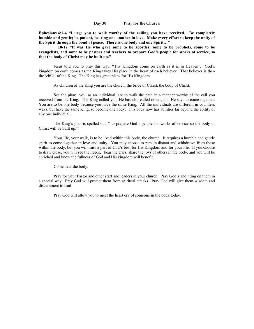## **Day 30 Pray for the Church**

**Ephesians 4:1-4 "I urge you to walk worthy of the calling you have received. Be completely humble and gentle; be patient, bearing one another in love. Make every effort to keep the unity of the Spirit through the bond of peace. There is one body and one Spirit…"**

 **10-12 "It was He who gave some to be apostles, some to be prophets, some to be evangelists, and some to be pastors and teachers to prepare God's people for works of service, so that the body of Christ may be built up."**

Jesus told you to pray this way, "Thy Kingdom come on earth as it is in Heaven". God's kingdom on earth comes as the King takes His place in the heart of each believer. That believer is then the 'child' of the King. The King has great plans for His Kingdom.

As children of the King you are the church, the bride of Christ, the body of Christ.

See the plan: you, as an individual, are to walk the path in a manner worthy of the call you received from the King. The King called you, He has also called others, and He says to come together. You are to be one body because you have the same King. All the individuals are different in countless ways, but have the same King, so become one body. This body now has abilities far beyond the ability of any one individual.

The King's plan is spelled out, " to prepare God's people for works of service so the body of Christ will be built up."

Your life, your walk, is to be lived within this body, the church. It requires a humble and gentle spirit to come together in love and unity. You may choose to remain distant and withdrawn from those within the body, but you will miss a part of God's best for His Kingdom and for your life. If you choose to draw close, you will see the needs, hear the cries, share the joys of others in the body, and you will be enriched and know the fullness of God and His kingdom will benefit.

Come near the body.

Pray for your Pastor and other staff and leaders in your church. Pray God's anointing on them in a special way. Pray God will protect them from spiritual attacks. Pray God will give them wisdom and discernment to lead.

Pray God will allow you to meet the heart cry of someone in the body today.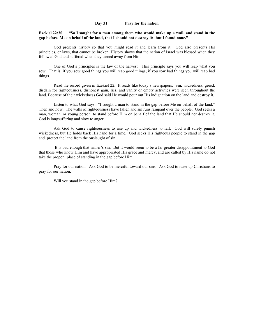#### **Day 31 Pray for the nation**

**Ezekiel 22:30 "So I sought for a man among them who would make up a wall, and stand in the gap before Me on behalf of the land, that I should not destroy it: but I found none."**

God presents history so that you might read it and learn from it. God also presents His principles, or laws, that cannot be broken. History shows that the nation of Israel was blessed when they followed God and suffered when they turned away from Him.

One of God's principles is the law of the harvest. This principle says you will reap what you sow. That is, if you sow good things you will reap good things; if you sow bad things you will reap bad things.

Read the record given in Ezekiel 22. It reads like today's newspapers. Sin, wickedness, greed, disdain for righteousness, dishonest gain, lies, and vanity or empty activities were seen throughout the land. Because of their wickedness God said He would pour out His indignation on the land and destroy it.

Listen to what God says: "I sought a man to stand in the gap before Me on behalf of the land." Then and now: The walls of righteousness have fallen and sin runs rampant over the people. God seeks a man, woman, or young person, to stand before Him on behalf of the land that He should not destroy it. God is longsuffering and slow to anger.

Ask God to cause righteousness to rise up and wickedness to fall. God will surely punish wickedness, but He holds back His hand for a time. God seeks His righteous people to stand in the gap and protect the land from the onslaught of sin.

It is bad enough that sinner's sin. But it would seem to be a far greater disappointment to God that those who know Him and have appropriated His grace and mercy, and are called by His name do not take the proper place of standing in the gap before Him.

Pray for our nation. Ask God to be merciful toward our sins. Ask God to raise up Christians to pray for our nation.

Will you stand in the gap before Him?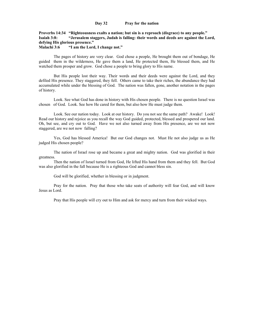#### **Day 32 Pray for the nation**

**Proverbs 14:34 "Righteousness exalts a nation; but sin is a reproach (disgrace) to any people." Isaiah 3:8: "Jerusalem staggers, Judah is falling: their words and deeds are against the Lord, defying His glorious presence."**

**Malachi 3:6 "I am the Lord, I change not."**

The pages of history are very clear. God chose a people, He brought them out of bondage, He guided them in the wilderness, He gave them a land, He protected them, He blessed them, and He watched them prosper and grow. God chose a people to bring glory to His name.

But His people lost their way. Their words and their deeds were against the Lord, and they defiled His presence. They staggered, they fell. Others came to take their riches, the abundance they had accumulated while under the blessing of God. The nation was fallen, gone, another notation in the pages of history.

Look. See what God has done in history with His chosen people. There is no question Israel was chosen of God. Look. See how He cared for them, but also how He must judge them.

Look. See our nation today. Look at our history. Do you not see the same path? Awake! Look! Read our history and rejoice as you recall the way God guided, protected, blessed and prospered our land. Oh, but see, and cry out to God. Have we not also turned away from His presence, are we not now staggered, are we not now falling?

Yes, God has blessed America! But our God changes not. Must He not also judge us as He judged His chosen people?

The nation of Israel rose up and became a great and mighty nation. God was glorified in their greatness.

Then the nation of Israel turned from God, He lifted His hand from them and they fell. But God was also glorified in the fall because He is a righteous God and cannot bless sin.

God will be glorified, whether in blessing or in judgment.

Pray for the nation. Pray that those who take seats of authority will fear God, and will know Jesus as Lord.

Pray that His people will cry out to Him and ask for mercy and turn from their wicked ways.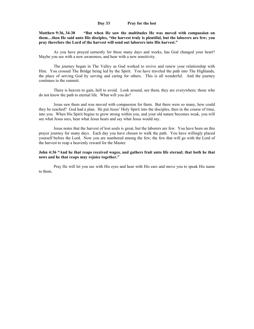#### **Day 33 Pray for the lost**

**Matthew 9:36, 34-38 "But when He saw the multitudes He was moved with compassion on them…then He said unto His disciples, "the harvest truly is plentiful, but the laborers are few; you pray therefore the Lord of the harvest will send out laborers into His harvest."**

As you have prayed earnestly for these many days and weeks, has God changed your heart? Maybe you see with a new awareness, and hear with a new sensitivity.

The journey began in The Valley as God worked to revive and renew your relationship with Him. You crossed The Bridge being led by the Spirit. You have traveled the path into The Highlands, the place of serving God by serving and caring for others. This is all wonderful. And the journey continues to the summit.

There is heaven to gain, hell to avoid. Look around, see them, they are everywhere; those who do not know the path to eternal life. What will you do?

Jesus saw them and was moved with compassion for them. But there were so many, how could they be reached? God had a plan. He put Jesus' Holy Spirit into the disciples, then in the course of time, into you. When His Spirit begins to grow strong within you, and your old nature becomes weak, you will see what Jesus sees, hear what Jesus hears and say what Jesus would say.

Jesus notes that the harvest of lost souls is great, but the laborers are few. You have been on this prayer journey for many days. Each day you have chosen to walk the path. You have willingly placed yourself before the Lord. Now you are numbered among the few; the few that will go with the Lord of the harvest to reap a heavenly reward for the Master.

**John 4:36 "And he that reaps received wages, and gathers fruit unto life eternal; that both he that sows and he that reaps may rejoice together."**

Pray He will let you see with His eyes and hear with His ears and move you to speak His name to them.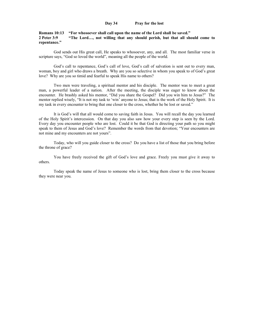#### **Day 34 Pray for the lost**

# **Romans 10:13 "For whosoever shall call upon the name of the Lord shall be saved." 2 Peter 3:9 "The Lord…, not willing that any should perish, but that all should come to repentance."**

God sends out His great call, He speaks to whosoever, any, and all. The most familiar verse in scripture says, "God so loved the world", meaning all the people of the world.

God's call to repentance, God's call of love, God's call of salvation is sent out to every man, woman, boy and girl who draws a breath. Why are you so selective in whom you speak to of God's great love? Why are you so timid and fearful to speak His name to others?

Two men were traveling, a spiritual mentor and his disciple. The mentor was to meet a great man, a powerful leader of a nation. After the meeting, the disciple was eager to know about the encounter. He brashly asked his mentor, "Did you share the Gospel? Did you win him to Jesus?" The mentor replied wisely, "It is not my task to 'win' anyone to Jesus; that is the work of the Holy Spirit. It is my task in every encounter to bring that one closer to the cross, whether he be lost or saved."

It is God's will that all would come to saving faith in Jesus. You will recall the day you learned of the Holy Spirit's intercession. On that day you also saw how your every step is seen by the Lord. Every day you encounter people who are lost. Could it be that God is directing your path so you might speak to them of Jesus and God's love? Remember the words from that devotion; "Your encounters are not mine and my encounters are not yours".

Today, who will you guide closer to the cross? Do you have a list of those that you bring before the throne of grace?

You have freely received the gift of God's love and grace. Freely you must give it away to others.

Today speak the name of Jesus to someone who is lost, bring them closer to the cross because they were near you.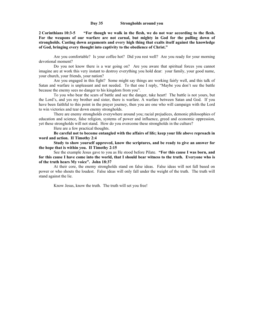#### **Day 35 Strongholds around you**

**2 Corinthians 10:3-5 "For though we walk in the flesh, we do not war according to the flesh. For the weapons of our warfare are not carnal, but mighty in God for the pulling down of strongholds. Casting down arguments and every high thing that exalts itself against the knowledge of God, bringing every thought into captivity to the obedience of Christ."**

Are you comfortable? Is your coffee hot? Did you rest well? Are you ready for your morning devotional moment?

Do you not know there is a war going on? Are you aware that spiritual forces you cannot imagine are at work this very instant to destroy everything you hold dear: your family, your good name, your church, your friends, your nation?

Are you engaged in this fight? Some might say things are working fairly well, and this talk of Satan and warfare is unpleasant and not needed. To that one I reply, "Maybe you don't see the battle because the enemy sees no danger to his kingdom from you".

To you who bear the scars of battle and see the danger, take heart! The battle is not yours, but the Lord's, and yes my brother and sister, there is warfare. A warfare between Satan and God. If you have been faithful to this point in the prayer journey, then you are one who will campaign with the Lord to win victories and tear down enemy strongholds.

There are enemy strongholds everywhere around you; racial prejudices, demonic philosophies of education and science, false religion, systems of power and influence, greed and economic oppression, yet these strongholds will not stand. How do you overcome these strongholds in the culture?

Here are a few practical thoughts.

**Be careful not to become entangled with the affairs of life; keep your life above reproach in word and action. II Timothy 2:4**

**Study to show yourself approved, know the scriptures, and be ready to give an answer for the hope that is within you. II Timothy 2:15**

See the example Jesus gave to you as He stood before Pilate. **"For this cause I was born, and for this cause I have come into the world, that I should bear witness to the truth. Everyone who is of the truth hears My voice". John 18:37**

At their core, the enemy strongholds stand on false ideas. False ideas will not fall based on power or who shouts the loudest. False ideas will only fall under the weight of the truth. The truth will stand against the lie.

Know Jesus, know the truth. The truth will set you free!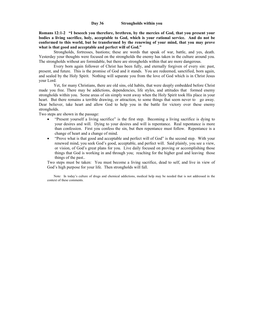**Romans 12:1-2 "I beseech you therefore, brethren, by the mercies of God, that you present your bodies a living sacrifice, holy, acceptable to God, which is your rational service. And do not be conformed to this world, but be transformed by the renewing of your mind, that you may prove what is that good and acceptable and perfect will of God."**

Strongholds, fortresses, bastions; these are words that speak of war, battle, and yes, death. Yesterday your thoughts were focused on the strongholds the enemy has taken in the culture around you. The strongholds without are formidable, but there are strongholds within that are more dangerous.

Every born again follower of Christ has been fully, and eternally forgiven of every sin: past, present, and future. This is the promise of God and it stands. You are redeemed, sanctified, born again, and sealed by the Holy Spirit. Nothing will separate you from the love of God which is in Christ Jesus your Lord.

Yet, for many Christians, there are old sins, old habits, that were deeply embedded before Christ made you free. There may be addictions, dependencies, life styles, and attitudes that formed enemy strongholds within you. Some areas of sin simply went away when the Holy Spirit took His place in your heart. But there remains a terrible drawing, or attraction, to some things that seem never to go away. Dear believer, take heart and allow God to help you in the battle for victory over these enemy strongholds.

Two steps are shown in the passage:

- "Present yourself a living sacrifice" is the first step. Becoming a living sacrifice is dying to your desires and will. Dying to your desires and will is repentance. Real repentance is more than confession. First you confess the sin, but then repentance must follow. Repentance is a change of heart and a change of mind.
- "Prove what is that good and acceptable and perfect will of God" is the second step. With your renewed mind, you seek God's good, acceptable, and perfect will. Said plainly, you see a view, or vision, of God's great plans for you. Live daily focused on proving or accomplishing those things that God is working in and through you; reaching for the higher goal and leaving those things of the past..

Two steps must be taken: You must become a living sacrifice, dead to self, and live in view of God's high purpose for your life. Then strongholds will fall.

Note: In today's culture of drugs and chemical addictions, medical help may be needed that is not addressed in the context of these comments.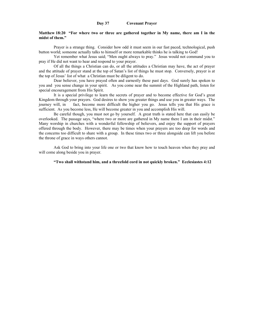#### **Matthew 18:20 "For where two or three are gathered together in My name, there am I in the midst of them."**

Prayer is a strange thing. Consider how odd it must seem in our fast paced, technological, push button world; someone actually talks to himself or more remarkable thinks he is talking to God!

Yet remember what Jesus said; "Men ought always to pray." Jesus would not command you to pray if He did not want to hear and respond to your prayer.

Of all the things a Christian can do, or all the attitudes a Christian may have, the act of prayer and the attitude of prayer stand at the top of Satan's list of things he must stop. Conversely, prayer is at the top of Jesus' list of what a Christian must be diligent to do.

Dear believer, you have prayed often and earnestly these past days. God surely has spoken to you and you sense change in your spirit. As you come near the summit of the Highland path, listen for special encouragement from His Spirit.

It is a special privilege to learn the secrets of prayer and to become effective for God's great Kingdom through your prayers. God desires to show you greater things and use you in greater ways. The journey will, in fact, become more difficult the higher you go. Jesus tells you that His grace is sufficient. As you become less, He will become greater in you and accomplish His will.

Be careful though, you must not go by yourself. A great truth is stated here that can easily be overlooked. The passage says, "where two or more are gathered in My name there I am in their midst." Many worship in churches with a wonderful fellowship of believers, and enjoy the support of prayers offered through the body. However, there may be times when your prayers are too deep for words and the concerns too difficult to share with a group. In these times two or three alongside can lift you before the throne of grace in ways others cannot.

Ask God to bring into your life one or two that know how to touch heaven when they pray and will come along beside you in prayer.

#### **"Two shall withstand him, and a threefold cord in not quickly broken." Ecclesiastes 4:12**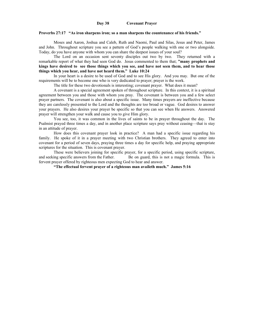#### **Day 38 Covenant Prayer**

#### **Proverbs 27:17 "As iron sharpens iron; so a man sharpens the countenance of his friends."**

Moses and Aaron, Joshua and Caleb, Ruth and Naomi, Paul and Silas, Jesus and Peter, James and John. Throughout scripture you see a pattern of God's people walking with one or two alongside. Today, do you have anyone with whom you can share the deepest issues of your soul?

The Lord on an occasion sent seventy disciples out two by two. They returned with a remarkable report of what they had seen God do. Jesus commented to them that; **"many prophets and kings have desired to see those things which you see, and have not seen them, and to hear those things which you hear, and have not heard them." Luke 10:24**

In your heart is a desire to be used of God and to see His glory. And you may. But one of the requirements will be to become one who is very dedicated to prayer; prayer is the work.

The title for these two devotionals is interesting; covenant prayer. What does it mean?

A covenant is a special agreement spoken of throughout scripture. In this context, it is a spiritual agreement between you and those with whom you pray. The covenant is between you and a few select prayer partners. The covenant is also about a specific issue. Many times prayers are ineffective because they are carelessly presented to the Lord and the thoughts are too broad or vague. God desires to answer your prayers. He also desires your prayer be specific so that you can see when He answers. Answered prayer will strengthen your walk and cause you to give Him glory.

You see, too, it was common in the lives of saints to be in prayer throughout the day. The Psalmist prayed three times a day, and in another place scripture says pray without ceasing—that is stay in an attitude of prayer.

How does this covenant prayer look in practice? A man had a specific issue regarding his family. He spoke of it in a prayer meeting with two Christian brothers. They agreed to enter into covenant for a period of seven days, praying three times a day for specific help, and praying appropriate scriptures for the situation. This is covenant prayer.

These were believers joining for specific prayer, for a specific period, using specific scripture, and seeking specific answers from the Father. Be on guard, this is not a magic formula. This is fervent prayer offered by righteous men expecting God to hear and answer.

**"The effectual fervent prayer of a righteous man availeth much." James 5:16**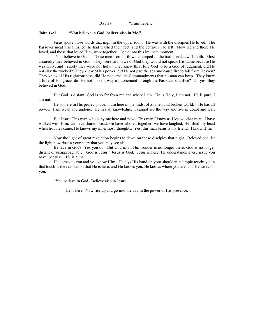# **Day 39 "I am here…"**

#### **John 14:1 "You believe in God, believe also in Me."**

Jesus spoke those words that night in the upper room. He was with the disciples He loved. The Passover meal was finished, he had washed their feet, and the betrayer had left. Now He and those He loved, and those that loved Him, were together. Come into this intimate moment.

"You believe in God". Those men from birth were steeped in the traditional Jewish faith. Most assuredly they believed in God. They were so in awe of God they would not speak His name because He was Holy, and surely they were not holy. They knew this Holy God to be a God of judgment, did He not slay the wicked? They knew of his power, did He not part the sea and cause fire to fall from Heaven? They knew of His righteousness, did He not send the Commandments that no man can keep. They knew a little of His grace, did He not make a way of atonement through the Passover sacrifice? Oh yes, they believed in God.

But God is distant; God is so far from me and where I am. He is Holy, I am not. He is pure, I am not.

He is there in His perfect place. I am here in the midst of a fallen and broken world. He has all power. I am weak and undone. He has all knowledge. I cannot see the way and live in doubt and fear.

But Jesus. This man who is by me here and now. This man I know as I know other men. I have walked with Him, we have shared bread, we have labored together, we have laughed, He lifted my head when troubles came, He knows my innermost thoughts. Yes, this man Jesus is my friend. I know Him.

Now the light of great revelation begins to dawn on those disciples that night. Beloved one, let the light now rise in your heart that you may see also.

Believe in God? Yes you do. But God in all His wonder is no longer there, God is no longer distant or unapproachable. God is Jesus. Jesus is God. Jesus is here, He understands every issue you have because He is a man.

He comes to you and you know Him. He lays His hand on your shoulder, a simple touch; yet in that touch is the realization that He is here, and He knows you, He knows where you are, and He cares for you.

"You believe in God. Believe also in Jesus."

He is here. Now rise up and go into the day in the power of His presence.